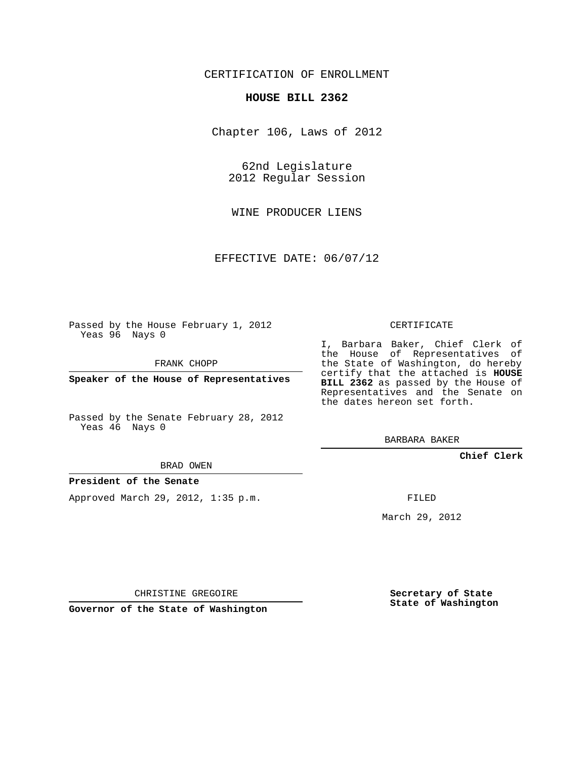# CERTIFICATION OF ENROLLMENT

#### **HOUSE BILL 2362**

Chapter 106, Laws of 2012

62nd Legislature 2012 Regular Session

WINE PRODUCER LIENS

EFFECTIVE DATE: 06/07/12

Passed by the House February 1, 2012 Yeas 96 Nays 0

FRANK CHOPP

**Speaker of the House of Representatives**

Passed by the Senate February 28, 2012 Yeas 46 Nays 0

BRAD OWEN

### **President of the Senate**

Approved March 29, 2012, 1:35 p.m.

CERTIFICATE

I, Barbara Baker, Chief Clerk of the House of Representatives of the State of Washington, do hereby certify that the attached is **HOUSE BILL 2362** as passed by the House of Representatives and the Senate on the dates hereon set forth.

BARBARA BAKER

**Chief Clerk**

FILED

March 29, 2012

CHRISTINE GREGOIRE

**Governor of the State of Washington**

**Secretary of State State of Washington**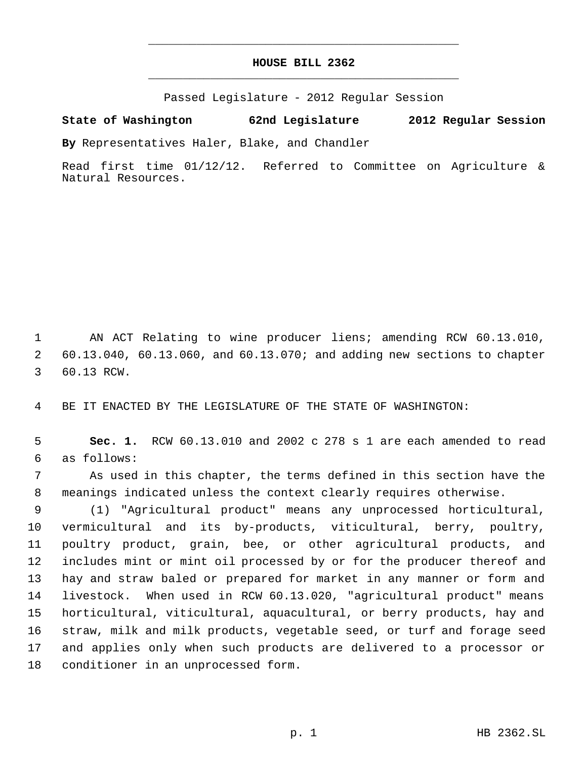# **HOUSE BILL 2362** \_\_\_\_\_\_\_\_\_\_\_\_\_\_\_\_\_\_\_\_\_\_\_\_\_\_\_\_\_\_\_\_\_\_\_\_\_\_\_\_\_\_\_\_\_

\_\_\_\_\_\_\_\_\_\_\_\_\_\_\_\_\_\_\_\_\_\_\_\_\_\_\_\_\_\_\_\_\_\_\_\_\_\_\_\_\_\_\_\_\_

Passed Legislature - 2012 Regular Session

# **State of Washington 62nd Legislature 2012 Regular Session**

**By** Representatives Haler, Blake, and Chandler

Read first time 01/12/12. Referred to Committee on Agriculture & Natural Resources.

 AN ACT Relating to wine producer liens; amending RCW 60.13.010, 60.13.040, 60.13.060, and 60.13.070; and adding new sections to chapter 60.13 RCW.

BE IT ENACTED BY THE LEGISLATURE OF THE STATE OF WASHINGTON:

 **Sec. 1.** RCW 60.13.010 and 2002 c 278 s 1 are each amended to read as follows:

 As used in this chapter, the terms defined in this section have the meanings indicated unless the context clearly requires otherwise.

 (1) "Agricultural product" means any unprocessed horticultural, vermicultural and its by-products, viticultural, berry, poultry, poultry product, grain, bee, or other agricultural products, and includes mint or mint oil processed by or for the producer thereof and hay and straw baled or prepared for market in any manner or form and livestock. When used in RCW 60.13.020, "agricultural product" means horticultural, viticultural, aquacultural, or berry products, hay and straw, milk and milk products, vegetable seed, or turf and forage seed and applies only when such products are delivered to a processor or conditioner in an unprocessed form.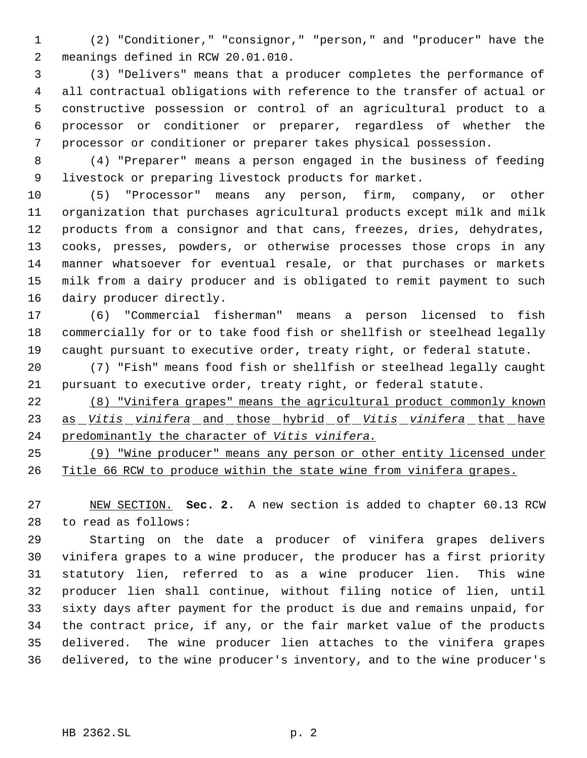(2) "Conditioner," "consignor," "person," and "producer" have the meanings defined in RCW 20.01.010.

 (3) "Delivers" means that a producer completes the performance of all contractual obligations with reference to the transfer of actual or constructive possession or control of an agricultural product to a processor or conditioner or preparer, regardless of whether the processor or conditioner or preparer takes physical possession.

 (4) "Preparer" means a person engaged in the business of feeding livestock or preparing livestock products for market.

 (5) "Processor" means any person, firm, company, or other organization that purchases agricultural products except milk and milk products from a consignor and that cans, freezes, dries, dehydrates, cooks, presses, powders, or otherwise processes those crops in any manner whatsoever for eventual resale, or that purchases or markets milk from a dairy producer and is obligated to remit payment to such dairy producer directly.

 (6) "Commercial fisherman" means a person licensed to fish commercially for or to take food fish or shellfish or steelhead legally caught pursuant to executive order, treaty right, or federal statute.

 (7) "Fish" means food fish or shellfish or steelhead legally caught pursuant to executive order, treaty right, or federal statute.

 (8) "Vinifera grapes" means the agricultural product commonly known as *Vitis vinifera* and those hybrid of *Vitis vinifera* that have predominantly the character of *Vitis vinifera*.

 (9) "Wine producer" means any person or other entity licensed under Title 66 RCW to produce within the state wine from vinifera grapes.

 NEW SECTION. **Sec. 2.** A new section is added to chapter 60.13 RCW to read as follows:

 Starting on the date a producer of vinifera grapes delivers vinifera grapes to a wine producer, the producer has a first priority statutory lien, referred to as a wine producer lien. This wine producer lien shall continue, without filing notice of lien, until sixty days after payment for the product is due and remains unpaid, for the contract price, if any, or the fair market value of the products delivered. The wine producer lien attaches to the vinifera grapes delivered, to the wine producer's inventory, and to the wine producer's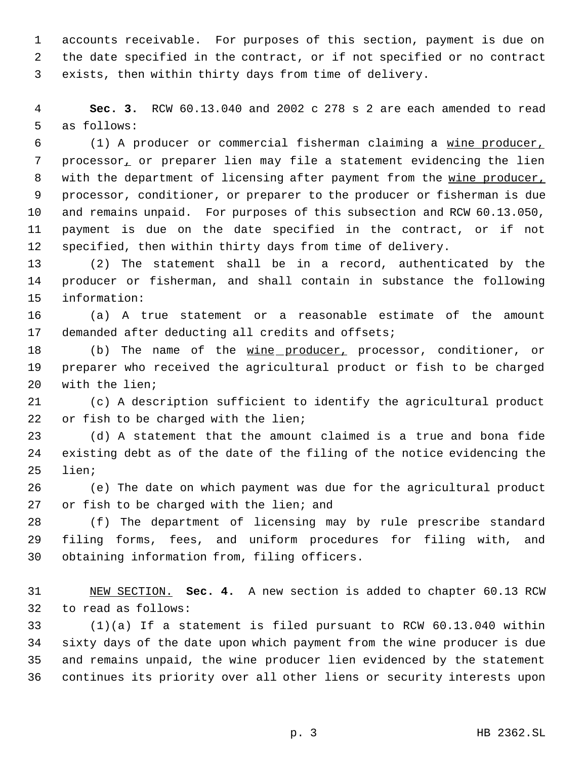accounts receivable. For purposes of this section, payment is due on the date specified in the contract, or if not specified or no contract exists, then within thirty days from time of delivery.

 **Sec. 3.** RCW 60.13.040 and 2002 c 278 s 2 are each amended to read as follows:

 (1) A producer or commercial fisherman claiming a wine producer, processor, or preparer lien may file a statement evidencing the lien 8 with the department of licensing after payment from the wine producer, processor, conditioner, or preparer to the producer or fisherman is due and remains unpaid. For purposes of this subsection and RCW 60.13.050, payment is due on the date specified in the contract, or if not specified, then within thirty days from time of delivery.

 (2) The statement shall be in a record, authenticated by the producer or fisherman, and shall contain in substance the following information:

 (a) A true statement or a reasonable estimate of the amount demanded after deducting all credits and offsets;

18 (b) The name of the wine producer, processor, conditioner, or preparer who received the agricultural product or fish to be charged with the lien;

 (c) A description sufficient to identify the agricultural product or fish to be charged with the lien;

 (d) A statement that the amount claimed is a true and bona fide existing debt as of the date of the filing of the notice evidencing the lien;

 (e) The date on which payment was due for the agricultural product 27 or fish to be charged with the lien; and

 (f) The department of licensing may by rule prescribe standard filing forms, fees, and uniform procedures for filing with, and obtaining information from, filing officers.

 NEW SECTION. **Sec. 4.** A new section is added to chapter 60.13 RCW to read as follows:

 (1)(a) If a statement is filed pursuant to RCW 60.13.040 within sixty days of the date upon which payment from the wine producer is due and remains unpaid, the wine producer lien evidenced by the statement continues its priority over all other liens or security interests upon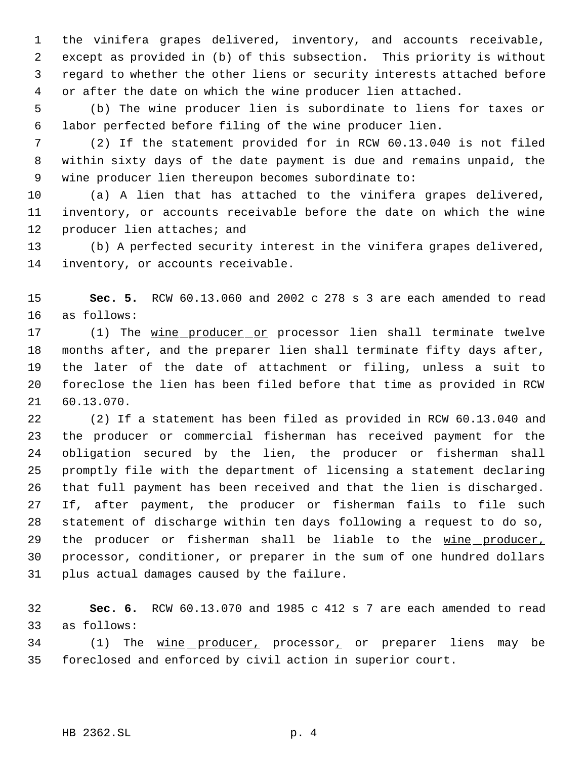the vinifera grapes delivered, inventory, and accounts receivable, except as provided in (b) of this subsection. This priority is without regard to whether the other liens or security interests attached before or after the date on which the wine producer lien attached.

 (b) The wine producer lien is subordinate to liens for taxes or labor perfected before filing of the wine producer lien.

 (2) If the statement provided for in RCW 60.13.040 is not filed within sixty days of the date payment is due and remains unpaid, the wine producer lien thereupon becomes subordinate to:

 (a) A lien that has attached to the vinifera grapes delivered, inventory, or accounts receivable before the date on which the wine 12 producer lien attaches; and

 (b) A perfected security interest in the vinifera grapes delivered, inventory, or accounts receivable.

 **Sec. 5.** RCW 60.13.060 and 2002 c 278 s 3 are each amended to read as follows:

17 (1) The wine producer or processor lien shall terminate twelve months after, and the preparer lien shall terminate fifty days after, the later of the date of attachment or filing, unless a suit to foreclose the lien has been filed before that time as provided in RCW 60.13.070.

 (2) If a statement has been filed as provided in RCW 60.13.040 and the producer or commercial fisherman has received payment for the obligation secured by the lien, the producer or fisherman shall promptly file with the department of licensing a statement declaring that full payment has been received and that the lien is discharged. If, after payment, the producer or fisherman fails to file such statement of discharge within ten days following a request to do so, 29 the producer or fisherman shall be liable to the wine producer, processor, conditioner, or preparer in the sum of one hundred dollars plus actual damages caused by the failure.

 **Sec. 6.** RCW 60.13.070 and 1985 c 412 s 7 are each amended to read as follows:

34 (1) The wine producer, processor, or preparer liens may be foreclosed and enforced by civil action in superior court.